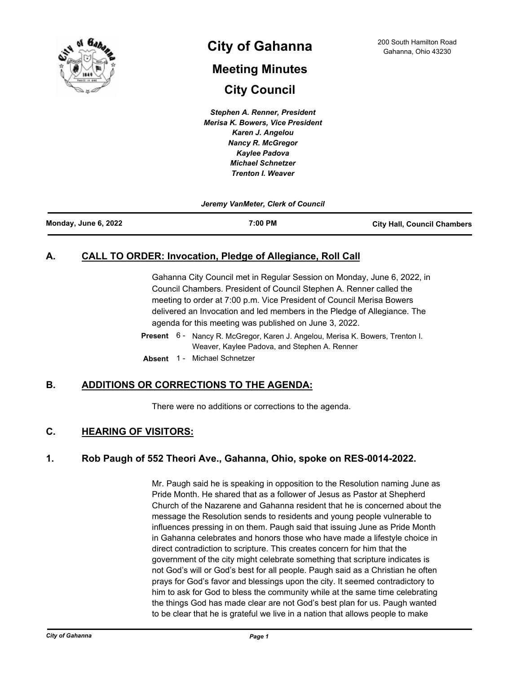

# **City of Gahanna** 200 South Hamilton Road Cahanna, Ohio 43230

# **Meeting Minutes City Council**

*Stephen A. Renner, President Merisa K. Bowers, Vice President Karen J. Angelou Nancy R. McGregor Kaylee Padova Michael Schnetzer Trenton I. Weaver*

*Jeremy VanMeter, Clerk of Council*

# **A. CALL TO ORDER: Invocation, Pledge of Allegiance, Roll Call**

Gahanna City Council met in Regular Session on Monday, June 6, 2022, in Council Chambers. President of Council Stephen A. Renner called the meeting to order at 7:00 p.m. Vice President of Council Merisa Bowers delivered an Invocation and led members in the Pledge of Allegiance. The agenda for this meeting was published on June 3, 2022.

- Present 6 Nancy R. McGregor, Karen J. Angelou, Merisa K. Bowers, Trenton I. Weaver, Kaylee Padova, and Stephen A. Renner
- **Absent** 1 Michael Schnetzer

# **B. ADDITIONS OR CORRECTIONS TO THE AGENDA:**

There were no additions or corrections to the agenda.

## **C. HEARING OF VISITORS:**

## **1. Rob Paugh of 552 Theori Ave., Gahanna, Ohio, spoke on RES-0014-2022.**

Mr. Paugh said he is speaking in opposition to the Resolution naming June as Pride Month. He shared that as a follower of Jesus as Pastor at Shepherd Church of the Nazarene and Gahanna resident that he is concerned about the message the Resolution sends to residents and young people vulnerable to influences pressing in on them. Paugh said that issuing June as Pride Month in Gahanna celebrates and honors those who have made a lifestyle choice in direct contradiction to scripture. This creates concern for him that the government of the city might celebrate something that scripture indicates is not God's will or God's best for all people. Paugh said as a Christian he often prays for God's favor and blessings upon the city. It seemed contradictory to him to ask for God to bless the community while at the same time celebrating the things God has made clear are not God's best plan for us. Paugh wanted to be clear that he is grateful we live in a nation that allows people to make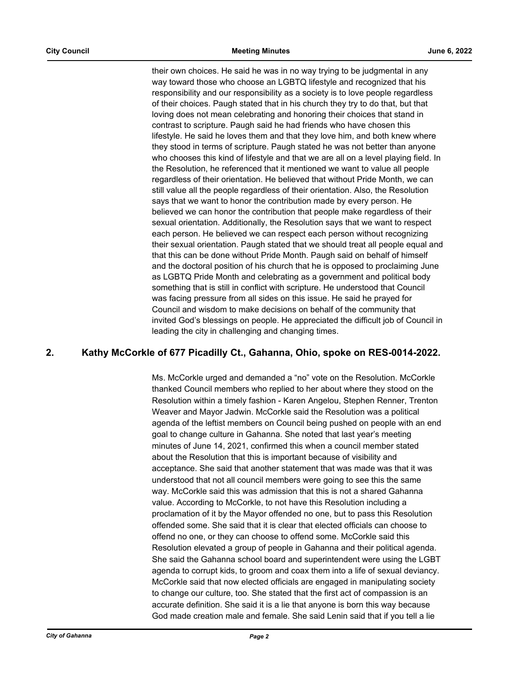their own choices. He said he was in no way trying to be judgmental in any way toward those who choose an LGBTQ lifestyle and recognized that his responsibility and our responsibility as a society is to love people regardless of their choices. Paugh stated that in his church they try to do that, but that loving does not mean celebrating and honoring their choices that stand in contrast to scripture. Paugh said he had friends who have chosen this lifestyle. He said he loves them and that they love him, and both knew where they stood in terms of scripture. Paugh stated he was not better than anyone who chooses this kind of lifestyle and that we are all on a level playing field. In the Resolution, he referenced that it mentioned we want to value all people regardless of their orientation. He believed that without Pride Month, we can still value all the people regardless of their orientation. Also, the Resolution says that we want to honor the contribution made by every person. He believed we can honor the contribution that people make regardless of their sexual orientation. Additionally, the Resolution says that we want to respect each person. He believed we can respect each person without recognizing their sexual orientation. Paugh stated that we should treat all people equal and that this can be done without Pride Month. Paugh said on behalf of himself and the doctoral position of his church that he is opposed to proclaiming June as LGBTQ Pride Month and celebrating as a government and political body something that is still in conflict with scripture. He understood that Council was facing pressure from all sides on this issue. He said he prayed for Council and wisdom to make decisions on behalf of the community that invited God's blessings on people. He appreciated the difficult job of Council in leading the city in challenging and changing times.

## **2. Kathy McCorkle of 677 Picadilly Ct., Gahanna, Ohio, spoke on RES-0014-2022.**

Ms. McCorkle urged and demanded a "no" vote on the Resolution. McCorkle thanked Council members who replied to her about where they stood on the Resolution within a timely fashion - Karen Angelou, Stephen Renner, Trenton Weaver and Mayor Jadwin. McCorkle said the Resolution was a political agenda of the leftist members on Council being pushed on people with an end goal to change culture in Gahanna. She noted that last year's meeting minutes of June 14, 2021, confirmed this when a council member stated about the Resolution that this is important because of visibility and acceptance. She said that another statement that was made was that it was understood that not all council members were going to see this the same way. McCorkle said this was admission that this is not a shared Gahanna value. According to McCorkle, to not have this Resolution including a proclamation of it by the Mayor offended no one, but to pass this Resolution offended some. She said that it is clear that elected officials can choose to offend no one, or they can choose to offend some. McCorkle said this Resolution elevated a group of people in Gahanna and their political agenda. She said the Gahanna school board and superintendent were using the LGBT agenda to corrupt kids, to groom and coax them into a life of sexual deviancy. McCorkle said that now elected officials are engaged in manipulating society to change our culture, too. She stated that the first act of compassion is an accurate definition. She said it is a lie that anyone is born this way because God made creation male and female. She said Lenin said that if you tell a lie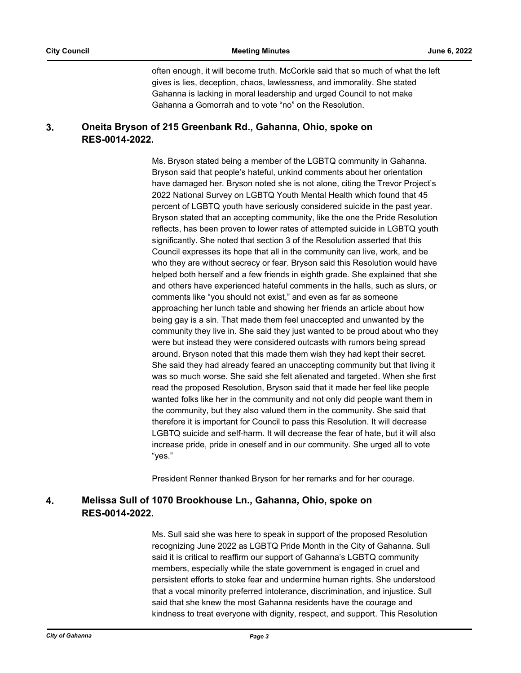often enough, it will become truth. McCorkle said that so much of what the left gives is lies, deception, chaos, lawlessness, and immorality. She stated Gahanna is lacking in moral leadership and urged Council to not make Gahanna a Gomorrah and to vote "no" on the Resolution.

#### **Oneita Bryson of 215 Greenbank Rd., Gahanna, Ohio, spoke on RES-0014-2022. 3.**

Ms. Bryson stated being a member of the LGBTQ community in Gahanna. Bryson said that people's hateful, unkind comments about her orientation have damaged her. Bryson noted she is not alone, citing the Trevor Project's 2022 National Survey on LGBTQ Youth Mental Health which found that 45 percent of LGBTQ youth have seriously considered suicide in the past year. Bryson stated that an accepting community, like the one the Pride Resolution reflects, has been proven to lower rates of attempted suicide in LGBTQ youth significantly. She noted that section 3 of the Resolution asserted that this Council expresses its hope that all in the community can live, work, and be who they are without secrecy or fear. Bryson said this Resolution would have helped both herself and a few friends in eighth grade. She explained that she and others have experienced hateful comments in the halls, such as slurs, or comments like "you should not exist," and even as far as someone approaching her lunch table and showing her friends an article about how being gay is a sin. That made them feel unaccepted and unwanted by the community they live in. She said they just wanted to be proud about who they were but instead they were considered outcasts with rumors being spread around. Bryson noted that this made them wish they had kept their secret. She said they had already feared an unaccepting community but that living it was so much worse. She said she felt alienated and targeted. When she first read the proposed Resolution, Bryson said that it made her feel like people wanted folks like her in the community and not only did people want them in the community, but they also valued them in the community. She said that therefore it is important for Council to pass this Resolution. It will decrease LGBTQ suicide and self-harm. It will decrease the fear of hate, but it will also increase pride, pride in oneself and in our community. She urged all to vote "yes."

President Renner thanked Bryson for her remarks and for her courage.

#### **Melissa Sull of 1070 Brookhouse Ln., Gahanna, Ohio, spoke on RES-0014-2022. 4.**

Ms. Sull said she was here to speak in support of the proposed Resolution recognizing June 2022 as LGBTQ Pride Month in the City of Gahanna. Sull said it is critical to reaffirm our support of Gahanna's LGBTQ community members, especially while the state government is engaged in cruel and persistent efforts to stoke fear and undermine human rights. She understood that a vocal minority preferred intolerance, discrimination, and injustice. Sull said that she knew the most Gahanna residents have the courage and kindness to treat everyone with dignity, respect, and support. This Resolution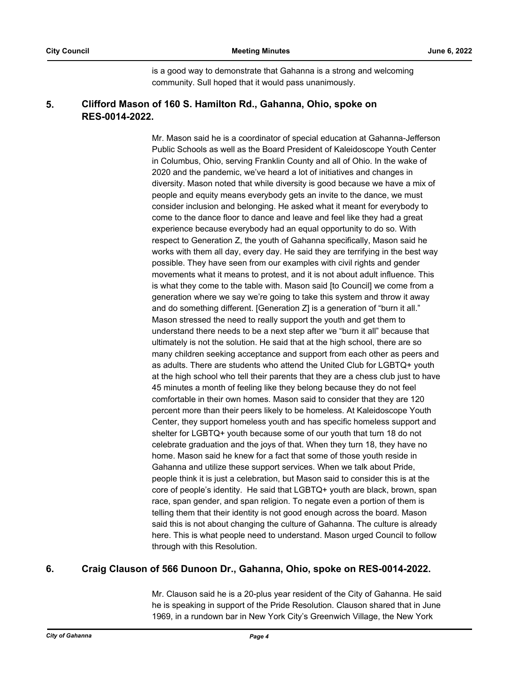is a good way to demonstrate that Gahanna is a strong and welcoming community. Sull hoped that it would pass unanimously.

#### **Clifford Mason of 160 S. Hamilton Rd., Gahanna, Ohio, spoke on RES-0014-2022. 5.**

Mr. Mason said he is a coordinator of special education at Gahanna-Jefferson Public Schools as well as the Board President of Kaleidoscope Youth Center in Columbus, Ohio, serving Franklin County and all of Ohio. In the wake of 2020 and the pandemic, we've heard a lot of initiatives and changes in diversity. Mason noted that while diversity is good because we have a mix of people and equity means everybody gets an invite to the dance, we must consider inclusion and belonging. He asked what it meant for everybody to come to the dance floor to dance and leave and feel like they had a great experience because everybody had an equal opportunity to do so. With respect to Generation Z, the youth of Gahanna specifically, Mason said he works with them all day, every day. He said they are terrifying in the best way possible. They have seen from our examples with civil rights and gender movements what it means to protest, and it is not about adult influence. This is what they come to the table with. Mason said [to Council] we come from a generation where we say we're going to take this system and throw it away and do something different. [Generation Z] is a generation of "burn it all." Mason stressed the need to really support the youth and get them to understand there needs to be a next step after we "burn it all" because that ultimately is not the solution. He said that at the high school, there are so many children seeking acceptance and support from each other as peers and as adults. There are students who attend the United Club for LGBTQ+ youth at the high school who tell their parents that they are a chess club just to have 45 minutes a month of feeling like they belong because they do not feel comfortable in their own homes. Mason said to consider that they are 120 percent more than their peers likely to be homeless. At Kaleidoscope Youth Center, they support homeless youth and has specific homeless support and shelter for LGBTQ+ youth because some of our youth that turn 18 do not celebrate graduation and the joys of that. When they turn 18, they have no home. Mason said he knew for a fact that some of those youth reside in Gahanna and utilize these support services. When we talk about Pride, people think it is just a celebration, but Mason said to consider this is at the core of people's identity. He said that LGBTQ+ youth are black, brown, span race, span gender, and span religion. To negate even a portion of them is telling them that their identity is not good enough across the board. Mason said this is not about changing the culture of Gahanna. The culture is already here. This is what people need to understand. Mason urged Council to follow through with this Resolution.

# **6. Craig Clauson of 566 Dunoon Dr., Gahanna, Ohio, spoke on RES-0014-2022.**

Mr. Clauson said he is a 20-plus year resident of the City of Gahanna. He said he is speaking in support of the Pride Resolution. Clauson shared that in June 1969, in a rundown bar in New York City's Greenwich Village, the New York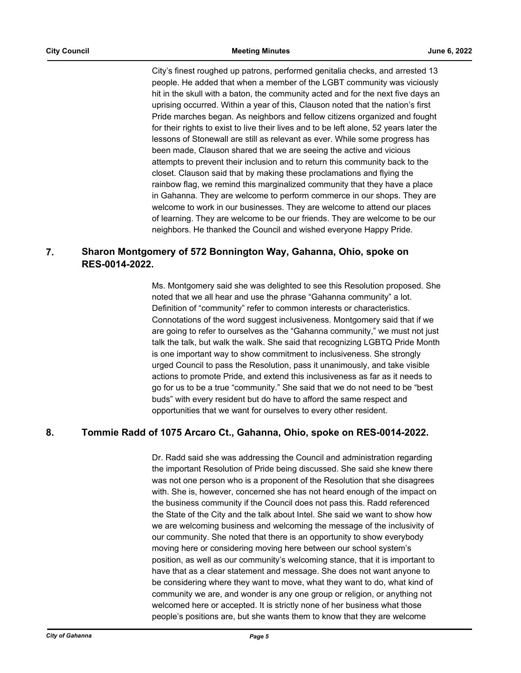City's finest roughed up patrons, performed genitalia checks, and arrested 13 people. He added that when a member of the LGBT community was viciously hit in the skull with a baton, the community acted and for the next five days an uprising occurred. Within a year of this, Clauson noted that the nation's first Pride marches began. As neighbors and fellow citizens organized and fought for their rights to exist to live their lives and to be left alone, 52 years later the lessons of Stonewall are still as relevant as ever. While some progress has been made, Clauson shared that we are seeing the active and vicious attempts to prevent their inclusion and to return this community back to the closet. Clauson said that by making these proclamations and flying the rainbow flag, we remind this marginalized community that they have a place in Gahanna. They are welcome to perform commerce in our shops. They are welcome to work in our businesses. They are welcome to attend our places of learning. They are welcome to be our friends. They are welcome to be our neighbors. He thanked the Council and wished everyone Happy Pride.

#### **Sharon Montgomery of 572 Bonnington Way, Gahanna, Ohio, spoke on RES-0014-2022. 7.**

Ms. Montgomery said she was delighted to see this Resolution proposed. She noted that we all hear and use the phrase "Gahanna community" a lot. Definition of "community" refer to common interests or characteristics. Connotations of the word suggest inclusiveness. Montgomery said that if we are going to refer to ourselves as the "Gahanna community," we must not just talk the talk, but walk the walk. She said that recognizing LGBTQ Pride Month is one important way to show commitment to inclusiveness. She strongly urged Council to pass the Resolution, pass it unanimously, and take visible actions to promote Pride, and extend this inclusiveness as far as it needs to go for us to be a true "community." She said that we do not need to be "best buds" with every resident but do have to afford the same respect and opportunities that we want for ourselves to every other resident.

# **8. Tommie Radd of 1075 Arcaro Ct., Gahanna, Ohio, spoke on RES-0014-2022.**

Dr. Radd said she was addressing the Council and administration regarding the important Resolution of Pride being discussed. She said she knew there was not one person who is a proponent of the Resolution that she disagrees with. She is, however, concerned she has not heard enough of the impact on the business community if the Council does not pass this. Radd referenced the State of the City and the talk about Intel. She said we want to show how we are welcoming business and welcoming the message of the inclusivity of our community. She noted that there is an opportunity to show everybody moving here or considering moving here between our school system's position, as well as our community's welcoming stance, that it is important to have that as a clear statement and message. She does not want anyone to be considering where they want to move, what they want to do, what kind of community we are, and wonder is any one group or religion, or anything not welcomed here or accepted. It is strictly none of her business what those people's positions are, but she wants them to know that they are welcome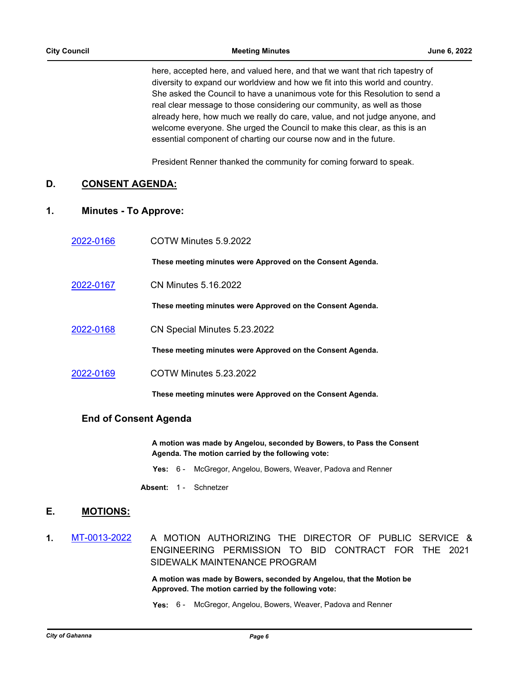here, accepted here, and valued here, and that we want that rich tapestry of diversity to expand our worldview and how we fit into this world and country. She asked the Council to have a unanimous vote for this Resolution to send a real clear message to those considering our community, as well as those already here, how much we really do care, value, and not judge anyone, and welcome everyone. She urged the Council to make this clear, as this is an essential component of charting our course now and in the future.

President Renner thanked the community for coming forward to speak.

## **D. CONSENT AGENDA:**

## **1. Minutes - To Approve:**

| 2022-0166 | COTW Minutes 5.9.2022                                      |
|-----------|------------------------------------------------------------|
|           | These meeting minutes were Approved on the Consent Agenda. |
| 2022-0167 | <b>CN Minutes 5.16.2022</b>                                |
|           | These meeting minutes were Approved on the Consent Agenda. |
| 2022-0168 | CN Special Minutes 5.23.2022                               |
|           | These meeting minutes were Approved on the Consent Agenda. |
| 2022-0169 | <b>COTW Minutes 5.23.2022</b>                              |
|           | These meeting minutes were Approved on the Consent Agenda. |

### **End of Consent Agenda**

**A motion was made by Angelou, seconded by Bowers, to Pass the Consent Agenda. The motion carried by the following vote:**

- **Yes:** 6 McGregor, Angelou, Bowers, Weaver, Padova and Renner
- Absent: 1 Schnetzer

## **E. MOTIONS:**

**1.** [MT-0013-2022](http://gahanna.legistar.com/gateway.aspx?m=l&id=/matter.aspx?key=16991) A MOTION AUTHORIZING THE DIRECTOR OF PUBLIC SERVICE & ENGINEERING PERMISSION TO BID CONTRACT FOR THE 2021 SIDEWALK MAINTENANCE PROGRAM

> **A motion was made by Bowers, seconded by Angelou, that the Motion be Approved. The motion carried by the following vote:**

**Yes:** 6 - McGregor, Angelou, Bowers, Weaver, Padova and Renner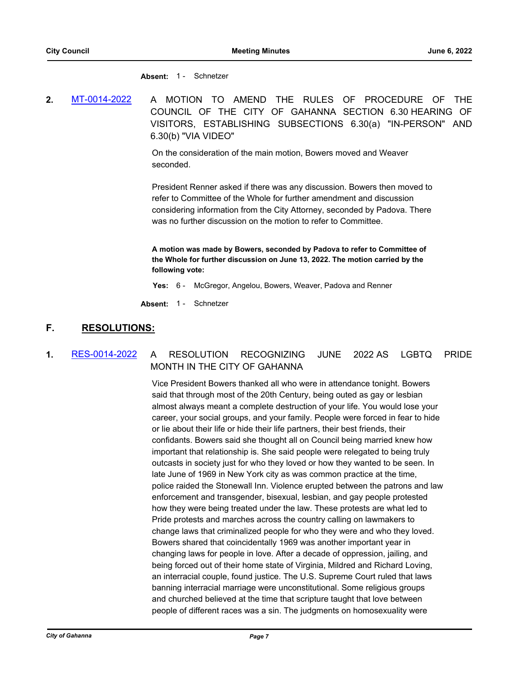**Absent:** 1 - Schnetzer

**2.** [MT-0014-2022](http://gahanna.legistar.com/gateway.aspx?m=l&id=/matter.aspx?key=16998) A MOTION TO AMEND THE RULES OF PROCEDURE OF THE COUNCIL OF THE CITY OF GAHANNA SECTION 6.30 HEARING OF VISITORS, ESTABLISHING SUBSECTIONS 6.30(a) "IN-PERSON" AND 6.30(b) "VIA VIDEO"

> On the consideration of the main motion, Bowers moved and Weaver seconded.

President Renner asked if there was any discussion. Bowers then moved to refer to Committee of the Whole for further amendment and discussion considering information from the City Attorney, seconded by Padova. There was no further discussion on the motion to refer to Committee.

**A motion was made by Bowers, seconded by Padova to refer to Committee of the Whole for further discussion on June 13, 2022. The motion carried by the following vote:**

**Yes:** 6 - McGregor, Angelou, Bowers, Weaver, Padova and Renner

**Absent:** 1 - Schnetzer

## **F. RESOLUTIONS:**

## **1.** [RES-0014-2022](http://gahanna.legistar.com/gateway.aspx?m=l&id=/matter.aspx?key=16994) A RESOLUTION RECOGNIZING JUNE 2022 AS LGBTQ PRIDE MONTH IN THE CITY OF GAHANNA

Vice President Bowers thanked all who were in attendance tonight. Bowers said that through most of the 20th Century, being outed as gay or lesbian almost always meant a complete destruction of your life. You would lose your career, your social groups, and your family. People were forced in fear to hide or lie about their life or hide their life partners, their best friends, their confidants. Bowers said she thought all on Council being married knew how important that relationship is. She said people were relegated to being truly outcasts in society just for who they loved or how they wanted to be seen. In late June of 1969 in New York city as was common practice at the time, police raided the Stonewall Inn. Violence erupted between the patrons and law enforcement and transgender, bisexual, lesbian, and gay people protested how they were being treated under the law. These protests are what led to Pride protests and marches across the country calling on lawmakers to change laws that criminalized people for who they were and who they loved. Bowers shared that coincidentally 1969 was another important year in changing laws for people in love. After a decade of oppression, jailing, and being forced out of their home state of Virginia, Mildred and Richard Loving, an interracial couple, found justice. The U.S. Supreme Court ruled that laws banning interracial marriage were unconstitutional. Some religious groups and churched believed at the time that scripture taught that love between people of different races was a sin. The judgments on homosexuality were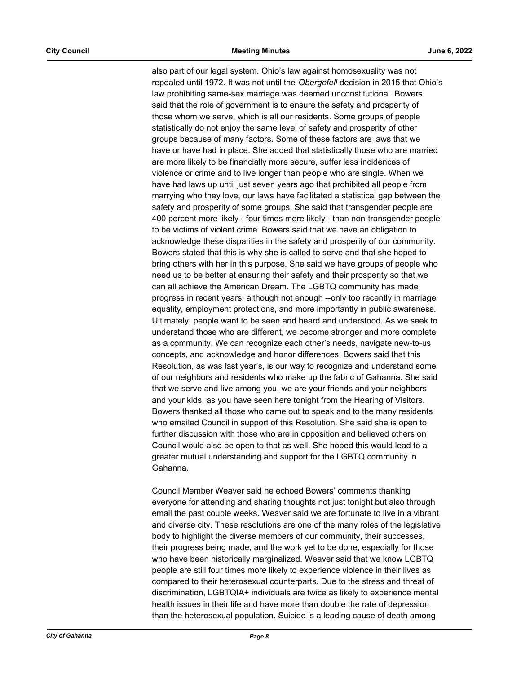also part of our legal system. Ohio's law against homosexuality was not repealed until 1972. It was not until the *Obergefell* decision in 2015 that Ohio's law prohibiting same-sex marriage was deemed unconstitutional. Bowers said that the role of government is to ensure the safety and prosperity of those whom we serve, which is all our residents. Some groups of people statistically do not enjoy the same level of safety and prosperity of other groups because of many factors. Some of these factors are laws that we have or have had in place. She added that statistically those who are married are more likely to be financially more secure, suffer less incidences of violence or crime and to live longer than people who are single. When we have had laws up until just seven years ago that prohibited all people from marrying who they love, our laws have facilitated a statistical gap between the safety and prosperity of some groups. She said that transgender people are 400 percent more likely - four times more likely - than non-transgender people to be victims of violent crime. Bowers said that we have an obligation to acknowledge these disparities in the safety and prosperity of our community. Bowers stated that this is why she is called to serve and that she hoped to bring others with her in this purpose. She said we have groups of people who need us to be better at ensuring their safety and their prosperity so that we can all achieve the American Dream. The LGBTQ community has made progress in recent years, although not enough --only too recently in marriage equality, employment protections, and more importantly in public awareness. Ultimately, people want to be seen and heard and understood. As we seek to understand those who are different, we become stronger and more complete as a community. We can recognize each other's needs, navigate new-to-us concepts, and acknowledge and honor differences. Bowers said that this Resolution, as was last year's, is our way to recognize and understand some of our neighbors and residents who make up the fabric of Gahanna. She said that we serve and live among you, we are your friends and your neighbors and your kids, as you have seen here tonight from the Hearing of Visitors. Bowers thanked all those who came out to speak and to the many residents who emailed Council in support of this Resolution. She said she is open to further discussion with those who are in opposition and believed others on Council would also be open to that as well. She hoped this would lead to a greater mutual understanding and support for the LGBTQ community in Gahanna.

Council Member Weaver said he echoed Bowers' comments thanking everyone for attending and sharing thoughts not just tonight but also through email the past couple weeks. Weaver said we are fortunate to live in a vibrant and diverse city. These resolutions are one of the many roles of the legislative body to highlight the diverse members of our community, their successes, their progress being made, and the work yet to be done, especially for those who have been historically marginalized. Weaver said that we know LGBTQ people are still four times more likely to experience violence in their lives as compared to their heterosexual counterparts. Due to the stress and threat of discrimination, LGBTQIA+ individuals are twice as likely to experience mental health issues in their life and have more than double the rate of depression than the heterosexual population. Suicide is a leading cause of death among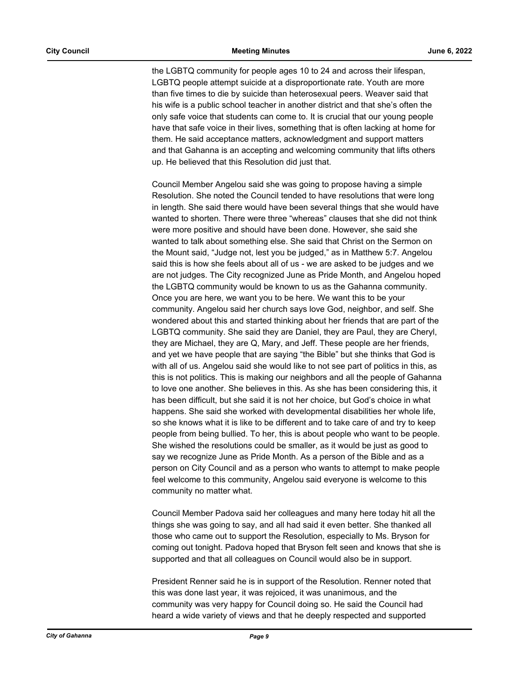the LGBTQ community for people ages 10 to 24 and across their lifespan, LGBTQ people attempt suicide at a disproportionate rate. Youth are more than five times to die by suicide than heterosexual peers. Weaver said that his wife is a public school teacher in another district and that she's often the only safe voice that students can come to. It is crucial that our young people have that safe voice in their lives, something that is often lacking at home for them. He said acceptance matters, acknowledgment and support matters and that Gahanna is an accepting and welcoming community that lifts others up. He believed that this Resolution did just that.

Council Member Angelou said she was going to propose having a simple Resolution. She noted the Council tended to have resolutions that were long in length. She said there would have been several things that she would have wanted to shorten. There were three "whereas" clauses that she did not think were more positive and should have been done. However, she said she wanted to talk about something else. She said that Christ on the Sermon on the Mount said, "Judge not, lest you be judged," as in Matthew 5:7. Angelou said this is how she feels about all of us - we are asked to be judges and we are not judges. The City recognized June as Pride Month, and Angelou hoped the LGBTQ community would be known to us as the Gahanna community. Once you are here, we want you to be here. We want this to be your community. Angelou said her church says love God, neighbor, and self. She wondered about this and started thinking about her friends that are part of the LGBTQ community. She said they are Daniel, they are Paul, they are Cheryl, they are Michael, they are Q, Mary, and Jeff. These people are her friends, and yet we have people that are saying "the Bible" but she thinks that God is with all of us. Angelou said she would like to not see part of politics in this, as this is not politics. This is making our neighbors and all the people of Gahanna to love one another. She believes in this. As she has been considering this, it has been difficult, but she said it is not her choice, but God's choice in what happens. She said she worked with developmental disabilities her whole life, so she knows what it is like to be different and to take care of and try to keep people from being bullied. To her, this is about people who want to be people. She wished the resolutions could be smaller, as it would be just as good to say we recognize June as Pride Month. As a person of the Bible and as a person on City Council and as a person who wants to attempt to make people feel welcome to this community, Angelou said everyone is welcome to this community no matter what.

Council Member Padova said her colleagues and many here today hit all the things she was going to say, and all had said it even better. She thanked all those who came out to support the Resolution, especially to Ms. Bryson for coming out tonight. Padova hoped that Bryson felt seen and knows that she is supported and that all colleagues on Council would also be in support.

President Renner said he is in support of the Resolution. Renner noted that this was done last year, it was rejoiced, it was unanimous, and the community was very happy for Council doing so. He said the Council had heard a wide variety of views and that he deeply respected and supported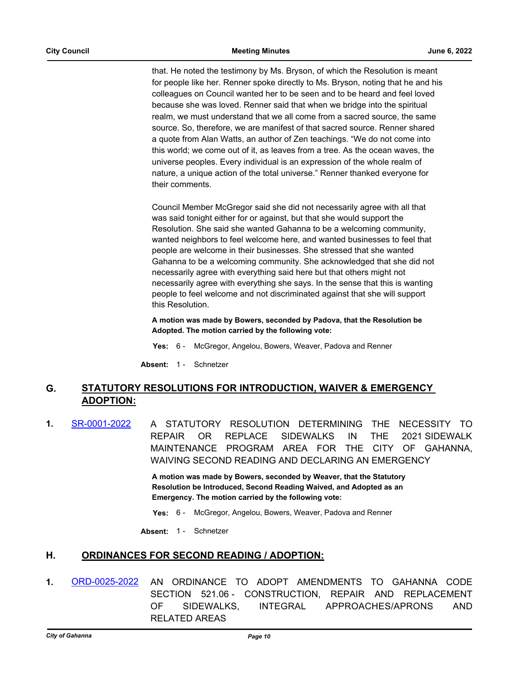that. He noted the testimony by Ms. Bryson, of which the Resolution is meant for people like her. Renner spoke directly to Ms. Bryson, noting that he and his colleagues on Council wanted her to be seen and to be heard and feel loved because she was loved. Renner said that when we bridge into the spiritual realm, we must understand that we all come from a sacred source, the same source. So, therefore, we are manifest of that sacred source. Renner shared a quote from Alan Watts, an author of Zen teachings. "We do not come into this world; we come out of it, as leaves from a tree. As the ocean waves, the universe peoples. Every individual is an expression of the whole realm of nature, a unique action of the total universe." Renner thanked everyone for their comments.

Council Member McGregor said she did not necessarily agree with all that was said tonight either for or against, but that she would support the Resolution. She said she wanted Gahanna to be a welcoming community, wanted neighbors to feel welcome here, and wanted businesses to feel that people are welcome in their businesses. She stressed that she wanted Gahanna to be a welcoming community. She acknowledged that she did not necessarily agree with everything said here but that others might not necessarily agree with everything she says. In the sense that this is wanting people to feel welcome and not discriminated against that she will support this Resolution.

**A motion was made by Bowers, seconded by Padova, that the Resolution be Adopted. The motion carried by the following vote:**

**Yes:** 6 - McGregor, Angelou, Bowers, Weaver, Padova and Renner

**Absent:** 1 - Schnetzer

#### **STATUTORY RESOLUTIONS FOR INTRODUCTION, WAIVER & EMERGENCY ADOPTION: G.**

**1.** [SR-0001-2022](http://gahanna.legistar.com/gateway.aspx?m=l&id=/matter.aspx?key=16990) A STATUTORY RESOLUTION DETERMINING THE NECESSITY TO REPAIR OR REPLACE SIDEWALKS IN THE 2021 SIDEWALK MAINTENANCE PROGRAM AREA FOR THE CITY OF GAHANNA, WAIVING SECOND READING AND DECLARING AN EMERGENCY

> **A motion was made by Bowers, seconded by Weaver, that the Statutory Resolution be Introduced, Second Reading Waived, and Adopted as an Emergency. The motion carried by the following vote:**

- **Yes:** 6 McGregor, Angelou, Bowers, Weaver, Padova and Renner
- **Absent:** 1 Schnetzer

### **H. ORDINANCES FOR SECOND READING / ADOPTION:**

**1.** [ORD-0025-2022](http://gahanna.legistar.com/gateway.aspx?m=l&id=/matter.aspx?key=16968) AN ORDINANCE TO ADOPT AMENDMENTS TO GAHANNA CODE SECTION 521.06 - CONSTRUCTION, REPAIR AND REPLACEMENT OF SIDEWALKS, INTEGRAL APPROACHES/APRONS AND RELATED AREAS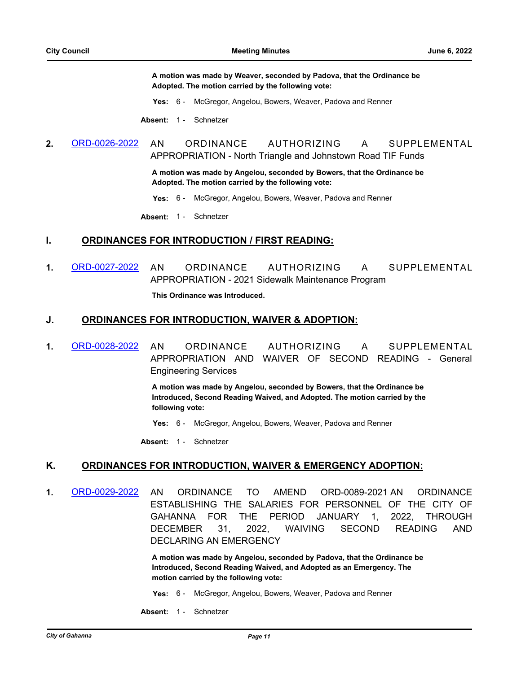**A motion was made by Weaver, seconded by Padova, that the Ordinance be Adopted. The motion carried by the following vote:**

**Yes:** 6 - McGregor, Angelou, Bowers, Weaver, Padova and Renner

**Absent:** 1 - Schnetzer

**2.** [ORD-0026-2022](http://gahanna.legistar.com/gateway.aspx?m=l&id=/matter.aspx?key=16971) AN ORDINANCE AUTHORIZING A SUPPLEMENTAL APPROPRIATION - North Triangle and Johnstown Road TIF Funds

> **A motion was made by Angelou, seconded by Bowers, that the Ordinance be Adopted. The motion carried by the following vote:**

- **Yes:** 6 McGregor, Angelou, Bowers, Weaver, Padova and Renner
- Absent: 1 Schnetzer

#### **I. ORDINANCES FOR INTRODUCTION / FIRST READING:**

**1.** [ORD-0027-2022](http://gahanna.legistar.com/gateway.aspx?m=l&id=/matter.aspx?key=16992) AN ORDINANCE AUTHORIZING A SUPPLEMENTAL APPROPRIATION - 2021 Sidewalk Maintenance Program **This Ordinance was Introduced.**

#### **J. ORDINANCES FOR INTRODUCTION, WAIVER & ADOPTION:**

**1.** [ORD-0028-2022](http://gahanna.legistar.com/gateway.aspx?m=l&id=/matter.aspx?key=16993) AN ORDINANCE AUTHORIZING A SUPPLEMENTAL APPROPRIATION AND WAIVER OF SECOND READING - General Engineering Services

> **A motion was made by Angelou, seconded by Bowers, that the Ordinance be Introduced, Second Reading Waived, and Adopted. The motion carried by the following vote:**

**Yes:** 6 - McGregor, Angelou, Bowers, Weaver, Padova and Renner

**Absent:** 1 - Schnetzer

#### **K. ORDINANCES FOR INTRODUCTION, WAIVER & EMERGENCY ADOPTION:**

**1.** [ORD-0029-2022](http://gahanna.legistar.com/gateway.aspx?m=l&id=/matter.aspx?key=16995) AN ORDINANCE TO AMEND ORD-0089-2021 AN ORDINANCE ESTABLISHING THE SALARIES FOR PERSONNEL OF THE CITY OF GAHANNA FOR THE PERIOD JANUARY 1, 2022, THROUGH DECEMBER 31, 2022, WAIVING SECOND READING AND DECLARING AN EMERGENCY

> **A motion was made by Angelou, seconded by Padova, that the Ordinance be Introduced, Second Reading Waived, and Adopted as an Emergency. The motion carried by the following vote:**

**Yes:** 6 - McGregor, Angelou, Bowers, Weaver, Padova and Renner

Absent: 1 - Schnetzer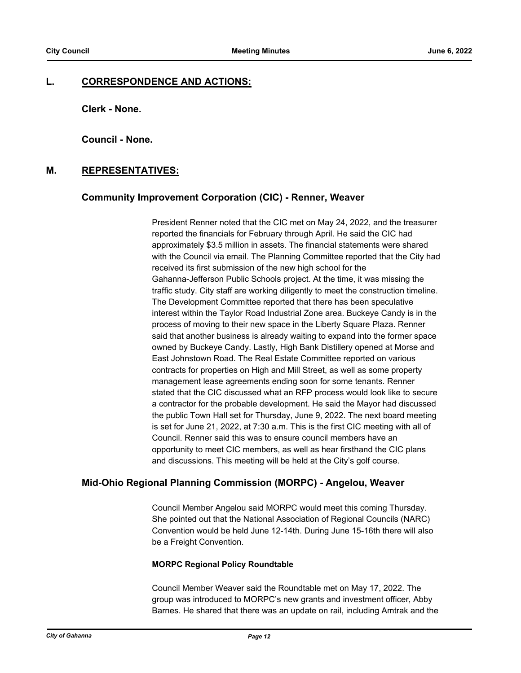#### **L. CORRESPONDENCE AND ACTIONS:**

**Clerk - None.**

**Council - None.**

## **M. REPRESENTATIVES:**

#### **Community Improvement Corporation (CIC) - Renner, Weaver**

President Renner noted that the CIC met on May 24, 2022, and the treasurer reported the financials for February through April. He said the CIC had approximately \$3.5 million in assets. The financial statements were shared with the Council via email. The Planning Committee reported that the City had received its first submission of the new high school for the Gahanna-Jefferson Public Schools project. At the time, it was missing the traffic study. City staff are working diligently to meet the construction timeline. The Development Committee reported that there has been speculative interest within the Taylor Road Industrial Zone area. Buckeye Candy is in the process of moving to their new space in the Liberty Square Plaza. Renner said that another business is already waiting to expand into the former space owned by Buckeye Candy. Lastly, High Bank Distillery opened at Morse and East Johnstown Road. The Real Estate Committee reported on various contracts for properties on High and Mill Street, as well as some property management lease agreements ending soon for some tenants. Renner stated that the CIC discussed what an RFP process would look like to secure a contractor for the probable development. He said the Mayor had discussed the public Town Hall set for Thursday, June 9, 2022. The next board meeting is set for June 21, 2022, at 7:30 a.m. This is the first CIC meeting with all of Council. Renner said this was to ensure council members have an opportunity to meet CIC members, as well as hear firsthand the CIC plans and discussions. This meeting will be held at the City's golf course.

#### **Mid-Ohio Regional Planning Commission (MORPC) - Angelou, Weaver**

Council Member Angelou said MORPC would meet this coming Thursday. She pointed out that the National Association of Regional Councils (NARC) Convention would be held June 12-14th. During June 15-16th there will also be a Freight Convention.

#### **MORPC Regional Policy Roundtable**

Council Member Weaver said the Roundtable met on May 17, 2022. The group was introduced to MORPC's new grants and investment officer, Abby Barnes. He shared that there was an update on rail, including Amtrak and the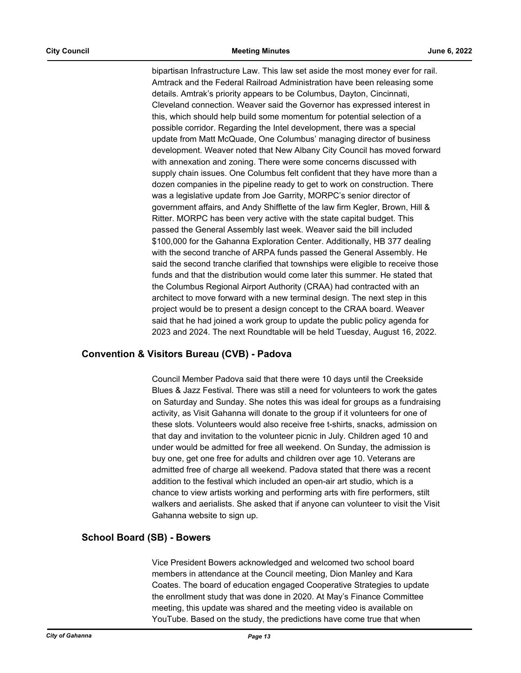bipartisan Infrastructure Law. This law set aside the most money ever for rail. Amtrack and the Federal Railroad Administration have been releasing some details. Amtrak's priority appears to be Columbus, Dayton, Cincinnati, Cleveland connection. Weaver said the Governor has expressed interest in this, which should help build some momentum for potential selection of a possible corridor. Regarding the Intel development, there was a special update from Matt McQuade, One Columbus' managing director of business development. Weaver noted that New Albany City Council has moved forward with annexation and zoning. There were some concerns discussed with supply chain issues. One Columbus felt confident that they have more than a dozen companies in the pipeline ready to get to work on construction. There was a legislative update from Joe Garrity, MORPC's senior director of government affairs, and Andy Shifflette of the law firm Kegler, Brown, Hill & Ritter. MORPC has been very active with the state capital budget. This passed the General Assembly last week. Weaver said the bill included \$100,000 for the Gahanna Exploration Center. Additionally, HB 377 dealing with the second tranche of ARPA funds passed the General Assembly. He said the second tranche clarified that townships were eligible to receive those funds and that the distribution would come later this summer. He stated that the Columbus Regional Airport Authority (CRAA) had contracted with an architect to move forward with a new terminal design. The next step in this project would be to present a design concept to the CRAA board. Weaver said that he had joined a work group to update the public policy agenda for 2023 and 2024. The next Roundtable will be held Tuesday, August 16, 2022.

### **Convention & Visitors Bureau (CVB) - Padova**

Council Member Padova said that there were 10 days until the Creekside Blues & Jazz Festival. There was still a need for volunteers to work the gates on Saturday and Sunday. She notes this was ideal for groups as a fundraising activity, as Visit Gahanna will donate to the group if it volunteers for one of these slots. Volunteers would also receive free t-shirts, snacks, admission on that day and invitation to the volunteer picnic in July. Children aged 10 and under would be admitted for free all weekend. On Sunday, the admission is buy one, get one free for adults and children over age 10. Veterans are admitted free of charge all weekend. Padova stated that there was a recent addition to the festival which included an open-air art studio, which is a chance to view artists working and performing arts with fire performers, stilt walkers and aerialists. She asked that if anyone can volunteer to visit the Visit Gahanna website to sign up.

#### **School Board (SB) - Bowers**

Vice President Bowers acknowledged and welcomed two school board members in attendance at the Council meeting, Dion Manley and Kara Coates. The board of education engaged Cooperative Strategies to update the enrollment study that was done in 2020. At May's Finance Committee meeting, this update was shared and the meeting video is available on YouTube. Based on the study, the predictions have come true that when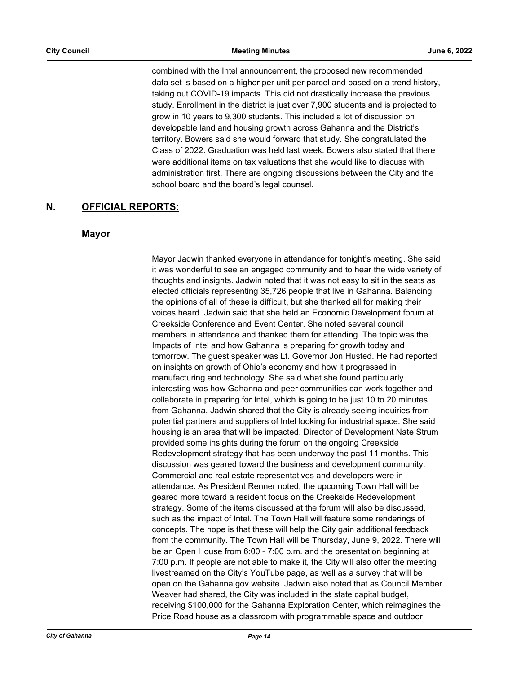combined with the Intel announcement, the proposed new recommended data set is based on a higher per unit per parcel and based on a trend history, taking out COVID-19 impacts. This did not drastically increase the previous study. Enrollment in the district is just over 7,900 students and is projected to grow in 10 years to 9,300 students. This included a lot of discussion on developable land and housing growth across Gahanna and the District's territory. Bowers said she would forward that study. She congratulated the Class of 2022. Graduation was held last week. Bowers also stated that there were additional items on tax valuations that she would like to discuss with administration first. There are ongoing discussions between the City and the school board and the board's legal counsel.

## **N. OFFICIAL REPORTS:**

#### **Mayor**

Mayor Jadwin thanked everyone in attendance for tonight's meeting. She said it was wonderful to see an engaged community and to hear the wide variety of thoughts and insights. Jadwin noted that it was not easy to sit in the seats as elected officials representing 35,726 people that live in Gahanna. Balancing the opinions of all of these is difficult, but she thanked all for making their voices heard. Jadwin said that she held an Economic Development forum at Creekside Conference and Event Center. She noted several council members in attendance and thanked them for attending. The topic was the Impacts of Intel and how Gahanna is preparing for growth today and tomorrow. The guest speaker was Lt. Governor Jon Husted. He had reported on insights on growth of Ohio's economy and how it progressed in manufacturing and technology. She said what she found particularly interesting was how Gahanna and peer communities can work together and collaborate in preparing for Intel, which is going to be just 10 to 20 minutes from Gahanna. Jadwin shared that the City is already seeing inquiries from potential partners and suppliers of Intel looking for industrial space. She said housing is an area that will be impacted. Director of Development Nate Strum provided some insights during the forum on the ongoing Creekside Redevelopment strategy that has been underway the past 11 months. This discussion was geared toward the business and development community. Commercial and real estate representatives and developers were in attendance. As President Renner noted, the upcoming Town Hall will be geared more toward a resident focus on the Creekside Redevelopment strategy. Some of the items discussed at the forum will also be discussed, such as the impact of Intel. The Town Hall will feature some renderings of concepts. The hope is that these will help the City gain additional feedback from the community. The Town Hall will be Thursday, June 9, 2022. There will be an Open House from 6:00 - 7:00 p.m. and the presentation beginning at 7:00 p.m. If people are not able to make it, the City will also offer the meeting livestreamed on the City's YouTube page, as well as a survey that will be open on the Gahanna.gov website. Jadwin also noted that as Council Member Weaver had shared, the City was included in the state capital budget, receiving \$100,000 for the Gahanna Exploration Center, which reimagines the Price Road house as a classroom with programmable space and outdoor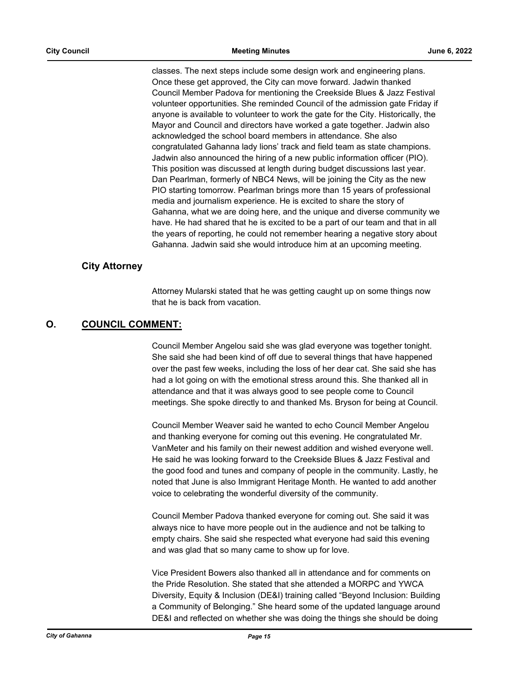classes. The next steps include some design work and engineering plans. Once these get approved, the City can move forward. Jadwin thanked Council Member Padova for mentioning the Creekside Blues & Jazz Festival volunteer opportunities. She reminded Council of the admission gate Friday if anyone is available to volunteer to work the gate for the City. Historically, the Mayor and Council and directors have worked a gate together. Jadwin also acknowledged the school board members in attendance. She also congratulated Gahanna lady lions' track and field team as state champions. Jadwin also announced the hiring of a new public information officer (PIO). This position was discussed at length during budget discussions last year. Dan Pearlman, formerly of NBC4 News, will be joining the City as the new PIO starting tomorrow. Pearlman brings more than 15 years of professional media and journalism experience. He is excited to share the story of Gahanna, what we are doing here, and the unique and diverse community we have. He had shared that he is excited to be a part of our team and that in all the years of reporting, he could not remember hearing a negative story about Gahanna. Jadwin said she would introduce him at an upcoming meeting.

#### **City Attorney**

Attorney Mularski stated that he was getting caught up on some things now that he is back from vacation.

## **O. COUNCIL COMMENT:**

Council Member Angelou said she was glad everyone was together tonight. She said she had been kind of off due to several things that have happened over the past few weeks, including the loss of her dear cat. She said she has had a lot going on with the emotional stress around this. She thanked all in attendance and that it was always good to see people come to Council meetings. She spoke directly to and thanked Ms. Bryson for being at Council.

Council Member Weaver said he wanted to echo Council Member Angelou and thanking everyone for coming out this evening. He congratulated Mr. VanMeter and his family on their newest addition and wished everyone well. He said he was looking forward to the Creekside Blues & Jazz Festival and the good food and tunes and company of people in the community. Lastly, he noted that June is also Immigrant Heritage Month. He wanted to add another voice to celebrating the wonderful diversity of the community.

Council Member Padova thanked everyone for coming out. She said it was always nice to have more people out in the audience and not be talking to empty chairs. She said she respected what everyone had said this evening and was glad that so many came to show up for love.

Vice President Bowers also thanked all in attendance and for comments on the Pride Resolution. She stated that she attended a MORPC and YWCA Diversity, Equity & Inclusion (DE&I) training called "Beyond Inclusion: Building a Community of Belonging." She heard some of the updated language around DE&I and reflected on whether she was doing the things she should be doing